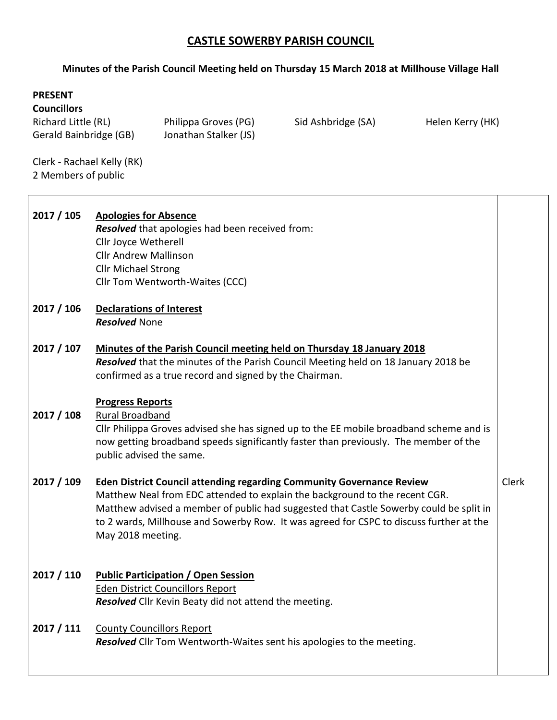## **CASTLE SOWERBY PARISH COUNCIL**

## **Minutes of the Parish Council Meeting held on Thursday 15 March 2018 at Millhouse Village Hall**

## **PRESENT**

**Councillors**

| Richard Little (RL)    | Philippa Groves (PG)  |
|------------------------|-----------------------|
| Gerald Bainbridge (GB) | Jonathan Stalker (JS) |

Philippa Groves (PG) Sid Ashbridge (SA) Helen Kerry (HK)

Clerk - Rachael Kelly (RK) 2 Members of public

| 2017 / 105 | <b>Apologies for Absence</b><br>Resolved that apologies had been received from:<br>Cllr Joyce Wetherell<br><b>Cllr Andrew Mallinson</b><br><b>Cllr Michael Strong</b><br>Cllr Tom Wentworth-Waites (CCC)                                                                                                                                                              |              |
|------------|-----------------------------------------------------------------------------------------------------------------------------------------------------------------------------------------------------------------------------------------------------------------------------------------------------------------------------------------------------------------------|--------------|
| 2017 / 106 | <b>Declarations of Interest</b><br><b>Resolved None</b>                                                                                                                                                                                                                                                                                                               |              |
| 2017 / 107 | Minutes of the Parish Council meeting held on Thursday 18 January 2018<br>Resolved that the minutes of the Parish Council Meeting held on 18 January 2018 be<br>confirmed as a true record and signed by the Chairman.                                                                                                                                                |              |
| 2017 / 108 | <b>Progress Reports</b><br><b>Rural Broadband</b><br>Cllr Philippa Groves advised she has signed up to the EE mobile broadband scheme and is<br>now getting broadband speeds significantly faster than previously. The member of the<br>public advised the same.                                                                                                      |              |
| 2017 / 109 | <b>Eden District Council attending regarding Community Governance Review</b><br>Matthew Neal from EDC attended to explain the background to the recent CGR.<br>Matthew advised a member of public had suggested that Castle Sowerby could be split in<br>to 2 wards, Millhouse and Sowerby Row. It was agreed for CSPC to discuss further at the<br>May 2018 meeting. | <b>Clerk</b> |
| 2017 / 110 | <b>Public Participation / Open Session</b><br><b>Eden District Councillors Report</b><br>Resolved Cllr Kevin Beaty did not attend the meeting.                                                                                                                                                                                                                        |              |
| 2017 / 111 | <b>County Councillors Report</b><br>Resolved Cllr Tom Wentworth-Waites sent his apologies to the meeting.                                                                                                                                                                                                                                                             |              |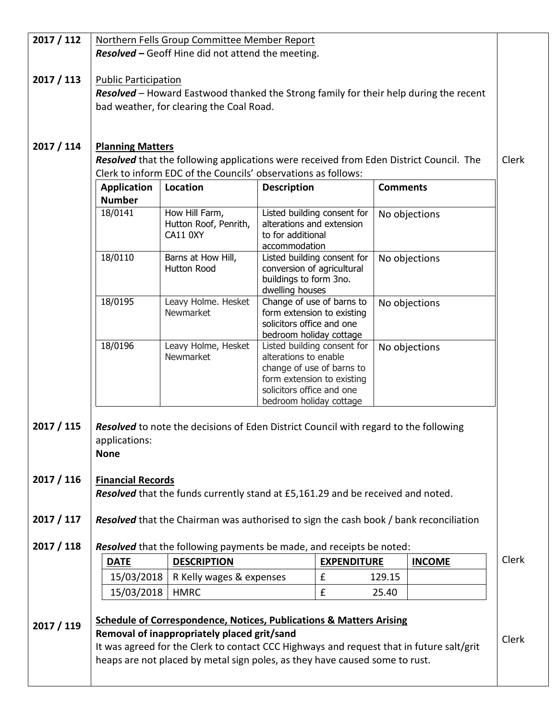| 2017 / 112 | Northern Fells Group Committee Member Report                                                                                                                                                                           |                                                                                |                                                                                                                                                                         |                    |                 |               |              |
|------------|------------------------------------------------------------------------------------------------------------------------------------------------------------------------------------------------------------------------|--------------------------------------------------------------------------------|-------------------------------------------------------------------------------------------------------------------------------------------------------------------------|--------------------|-----------------|---------------|--------------|
|            |                                                                                                                                                                                                                        | <b>Resolved - Geoff Hine did not attend the meeting.</b>                       |                                                                                                                                                                         |                    |                 |               |              |
|            |                                                                                                                                                                                                                        |                                                                                |                                                                                                                                                                         |                    |                 |               |              |
| 2017 / 113 | <b>Public Participation</b>                                                                                                                                                                                            |                                                                                |                                                                                                                                                                         |                    |                 |               |              |
|            | Resolved - Howard Eastwood thanked the Strong family for their help during the recent                                                                                                                                  |                                                                                |                                                                                                                                                                         |                    |                 |               |              |
|            | bad weather, for clearing the Coal Road.                                                                                                                                                                               |                                                                                |                                                                                                                                                                         |                    |                 |               |              |
|            |                                                                                                                                                                                                                        |                                                                                |                                                                                                                                                                         |                    |                 |               |              |
| 2017 / 114 | <b>Planning Matters</b>                                                                                                                                                                                                |                                                                                |                                                                                                                                                                         |                    |                 |               |              |
|            | <b>Resolved</b> that the following applications were received from Eden District Council. The                                                                                                                          |                                                                                |                                                                                                                                                                         |                    |                 |               | Clerk        |
|            | Clerk to inform EDC of the Councils' observations as follows:                                                                                                                                                          |                                                                                |                                                                                                                                                                         |                    |                 |               |              |
|            | <b>Application</b>                                                                                                                                                                                                     | Location                                                                       | <b>Description</b>                                                                                                                                                      |                    | <b>Comments</b> |               |              |
|            | <b>Number</b>                                                                                                                                                                                                          |                                                                                |                                                                                                                                                                         |                    |                 |               |              |
|            | 18/0141                                                                                                                                                                                                                | How Hill Farm,<br>Hutton Roof, Penrith,<br>CA11 0XY                            | Listed building consent for<br>alterations and extension<br>to for additional                                                                                           |                    |                 | No objections |              |
|            | 18/0110                                                                                                                                                                                                                | Barns at How Hill,                                                             | accommodation<br>Listed building consent for                                                                                                                            |                    |                 |               |              |
|            |                                                                                                                                                                                                                        | Hutton Rood                                                                    | conversion of agricultural<br>buildings to form 3no.<br>dwelling houses                                                                                                 |                    |                 | No objections |              |
|            | 18/0195                                                                                                                                                                                                                | Leavy Holme. Hesket<br>Newmarket                                               | Change of use of barns to<br>form extension to existing<br>solicitors office and one<br>bedroom holiday cottage                                                         |                    |                 | No objections |              |
|            | 18/0196                                                                                                                                                                                                                | Leavy Holme, Hesket<br>Newmarket                                               | Listed building consent for<br>alterations to enable<br>change of use of barns to<br>form extension to existing<br>solicitors office and one<br>bedroom holiday cottage |                    |                 | No objections |              |
| 2017 / 115 | <b>Resolved</b> to note the decisions of Eden District Council with regard to the following<br>applications:<br><b>None</b>                                                                                            |                                                                                |                                                                                                                                                                         |                    |                 |               |              |
| 2017 / 116 |                                                                                                                                                                                                                        |                                                                                |                                                                                                                                                                         |                    |                 |               |              |
|            | <b>Financial Records</b><br>Resolved that the funds currently stand at £5,161.29 and be received and noted.                                                                                                            |                                                                                |                                                                                                                                                                         |                    |                 |               |              |
|            |                                                                                                                                                                                                                        |                                                                                |                                                                                                                                                                         |                    |                 |               |              |
| 2017 / 117 | Resolved that the Chairman was authorised to sign the cash book / bank reconciliation                                                                                                                                  |                                                                                |                                                                                                                                                                         |                    |                 |               |              |
| 2017 / 118 |                                                                                                                                                                                                                        | Resolved that the following payments be made, and receipts be noted:           |                                                                                                                                                                         |                    |                 |               |              |
|            | <b>DATE</b>                                                                                                                                                                                                            | <b>DESCRIPTION</b>                                                             |                                                                                                                                                                         | <b>EXPENDITURE</b> |                 | <b>INCOME</b> | <b>Clerk</b> |
|            | 15/03/2018                                                                                                                                                                                                             | R Kelly wages & expenses                                                       |                                                                                                                                                                         | £                  | 129.15          |               |              |
|            | 15/03/2018                                                                                                                                                                                                             | <b>HMRC</b>                                                                    |                                                                                                                                                                         | £                  | 25.40           |               |              |
|            |                                                                                                                                                                                                                        |                                                                                |                                                                                                                                                                         |                    |                 |               |              |
| 2017 / 119 |                                                                                                                                                                                                                        | <b>Schedule of Correspondence, Notices, Publications &amp; Matters Arising</b> |                                                                                                                                                                         |                    |                 |               |              |
|            | Removal of inappropriately placed grit/sand<br>It was agreed for the Clerk to contact CCC Highways and request that in future salt/grit<br>heaps are not placed by metal sign poles, as they have caused some to rust. |                                                                                |                                                                                                                                                                         |                    |                 |               | Clerk        |
|            |                                                                                                                                                                                                                        |                                                                                |                                                                                                                                                                         |                    |                 |               |              |
|            |                                                                                                                                                                                                                        |                                                                                |                                                                                                                                                                         |                    |                 |               |              |
|            |                                                                                                                                                                                                                        |                                                                                |                                                                                                                                                                         |                    |                 |               |              |